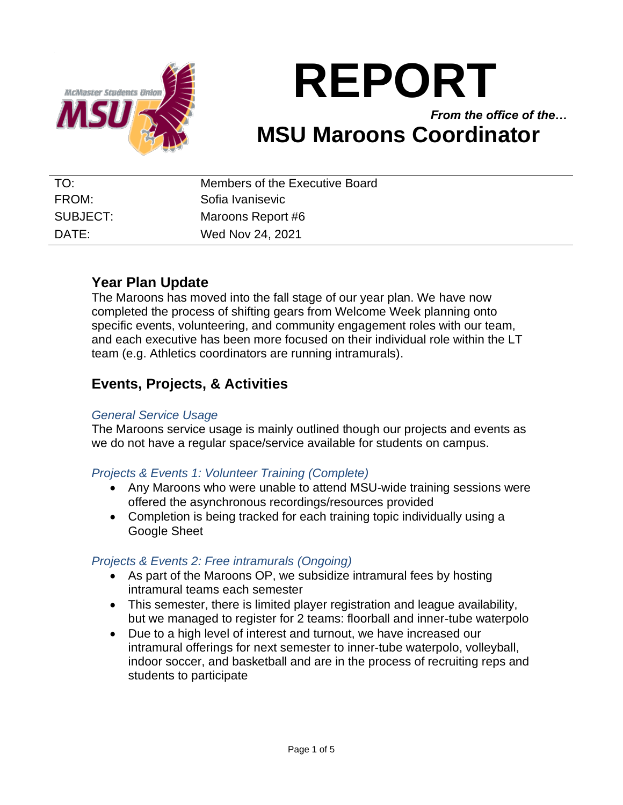

# **REPORT**

*From the office of the…* **MSU Maroons Coordinator**

| TO:      | Members of the Executive Board |
|----------|--------------------------------|
| FROM:    | Sofia Ivanisevic               |
| SUBJECT: | Maroons Report #6              |
| DATE:    | Wed Nov 24, 2021               |

# **Year Plan Update**

The Maroons has moved into the fall stage of our year plan. We have now completed the process of shifting gears from Welcome Week planning onto specific events, volunteering, and community engagement roles with our team, and each executive has been more focused on their individual role within the LT team (e.g. Athletics coordinators are running intramurals).

# **Events, Projects, & Activities**

## *General Service Usage*

The Maroons service usage is mainly outlined though our projects and events as we do not have a regular space/service available for students on campus.

## *Projects & Events 1: Volunteer Training (Complete)*

- Any Maroons who were unable to attend MSU-wide training sessions were offered the asynchronous recordings/resources provided
- Completion is being tracked for each training topic individually using a Google Sheet

## *Projects & Events 2: Free intramurals (Ongoing)*

- As part of the Maroons OP, we subsidize intramural fees by hosting intramural teams each semester
- This semester, there is limited player registration and league availability, but we managed to register for 2 teams: floorball and inner-tube waterpolo
- Due to a high level of interest and turnout, we have increased our intramural offerings for next semester to inner-tube waterpolo, volleyball, indoor soccer, and basketball and are in the process of recruiting reps and students to participate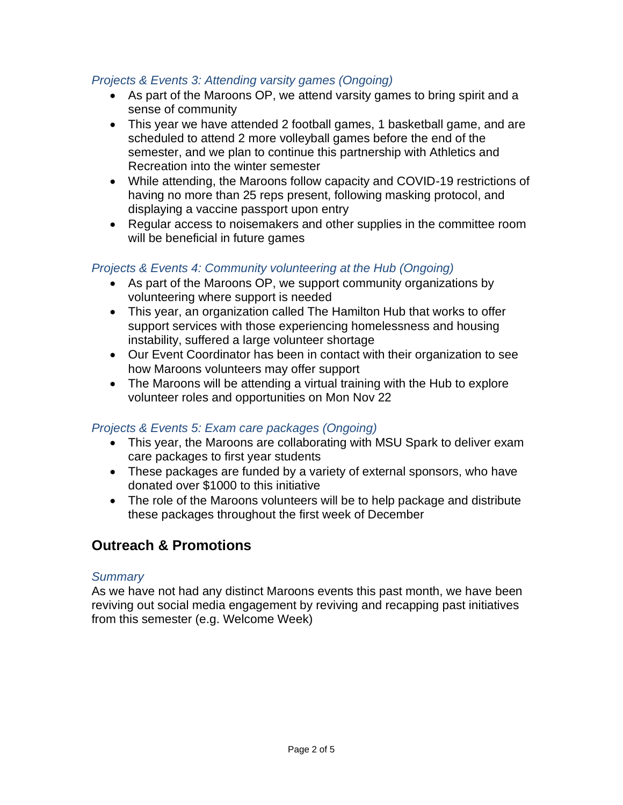#### *Projects & Events 3: Attending varsity games (Ongoing)*

- As part of the Maroons OP, we attend varsity games to bring spirit and a sense of community
- This year we have attended 2 football games, 1 basketball game, and are scheduled to attend 2 more volleyball games before the end of the semester, and we plan to continue this partnership with Athletics and Recreation into the winter semester
- While attending, the Maroons follow capacity and COVID-19 restrictions of having no more than 25 reps present, following masking protocol, and displaying a vaccine passport upon entry
- Regular access to noisemakers and other supplies in the committee room will be beneficial in future games

#### *Projects & Events 4: Community volunteering at the Hub (Ongoing)*

- As part of the Maroons OP, we support community organizations by volunteering where support is needed
- This year, an organization called The Hamilton Hub that works to offer support services with those experiencing homelessness and housing instability, suffered a large volunteer shortage
- Our Event Coordinator has been in contact with their organization to see how Maroons volunteers may offer support
- The Maroons will be attending a virtual training with the Hub to explore volunteer roles and opportunities on Mon Nov 22

## *Projects & Events 5: Exam care packages (Ongoing)*

- This year, the Maroons are collaborating with MSU Spark to deliver exam care packages to first year students
- These packages are funded by a variety of external sponsors, who have donated over \$1000 to this initiative
- The role of the Maroons volunteers will be to help package and distribute these packages throughout the first week of December

# **Outreach & Promotions**

#### *Summary*

As we have not had any distinct Maroons events this past month, we have been reviving out social media engagement by reviving and recapping past initiatives from this semester (e.g. Welcome Week)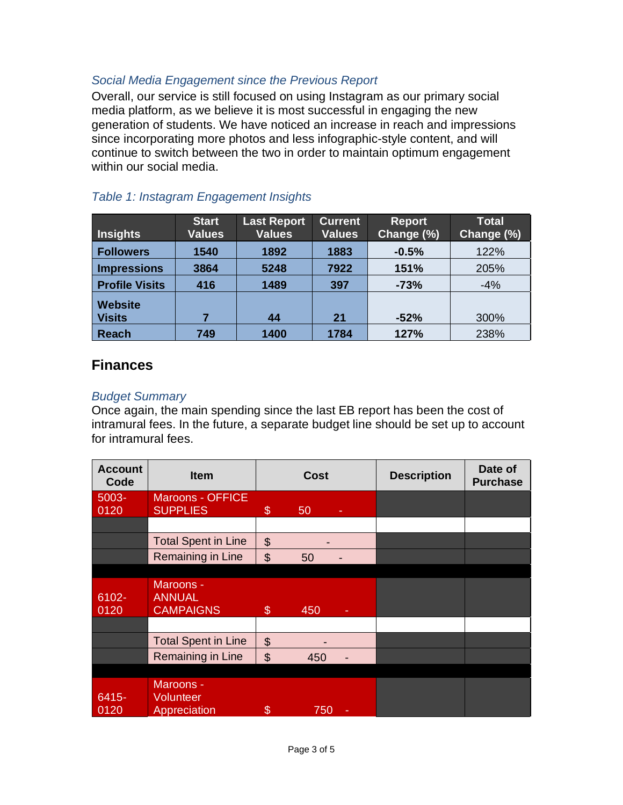## *Social Media Engagement since the Previous Report*

Overall, our service is still focused on using Instagram as our primary social media platform, as we believe it is most successful in engaging the new generation of students. We have noticed an increase in reach and impressions since incorporating more photos and less infographic-style content, and will continue to switch between the two in order to maintain optimum engagement within our social media.

| <b>Insights</b>       | <b>Start</b><br><b>Values</b> | <b>Last Report</b><br><b>Values</b> | <b>Current</b><br><b>Values</b> | <b>Report</b><br>Change (%) | <b>Total</b><br>Change (%) |
|-----------------------|-------------------------------|-------------------------------------|---------------------------------|-----------------------------|----------------------------|
| <b>Followers</b>      | 1540                          | 1892                                | 1883                            | $-0.5%$                     | 122%                       |
| <b>Impressions</b>    | 3864                          | 5248                                | 7922                            | 151%                        | 205%                       |
| <b>Profile Visits</b> | 416                           | 1489                                | 397                             | $-73%$                      | $-4%$                      |
| <b>Website</b>        |                               |                                     |                                 |                             |                            |
| <b>Visits</b>         |                               | 44                                  | 21                              | $-52%$                      | 300%                       |
| <b>Reach</b>          | 749                           | 1400                                | 1784                            | 127%                        | 238%                       |

## *Table 1: Instagram Engagement Insights*

# **Finances**

#### *Budget Summary*

Once again, the main spending since the last EB report has been the cost of intramural fees. In the future, a separate budget line should be set up to account for intramural fees.

| <b>Account</b><br>Code | <b>Item</b>                                    | <b>Cost</b>               |     | <b>Description</b> | Date of<br><b>Purchase</b> |  |
|------------------------|------------------------------------------------|---------------------------|-----|--------------------|----------------------------|--|
| $5003 -$<br>0120       | Maroons - OFFICE<br><b>SUPPLIES</b>            | \$                        |     |                    |                            |  |
|                        |                                                |                           | 50  |                    |                            |  |
|                        | <b>Total Spent in Line</b>                     | $\boldsymbol{\mathsf{S}}$ |     |                    |                            |  |
|                        | <b>Remaining in Line</b>                       | $\mathcal{S}$             | 50  |                    |                            |  |
|                        |                                                |                           |     |                    |                            |  |
| 6102-<br>0120          | Maroons -<br><b>ANNUAL</b><br><b>CAMPAIGNS</b> | $\boldsymbol{\mathsf{s}}$ | 450 |                    |                            |  |
|                        |                                                |                           |     |                    |                            |  |
|                        | <b>Total Spent in Line</b>                     | $\mathcal{L}$             |     |                    |                            |  |
|                        | Remaining in Line                              | \$                        | 450 |                    |                            |  |
|                        |                                                |                           |     |                    |                            |  |
| $6415 -$<br>0120       | Maroons -<br><b>Volunteer</b><br>Appreciation  | \$                        | 750 | ٠                  |                            |  |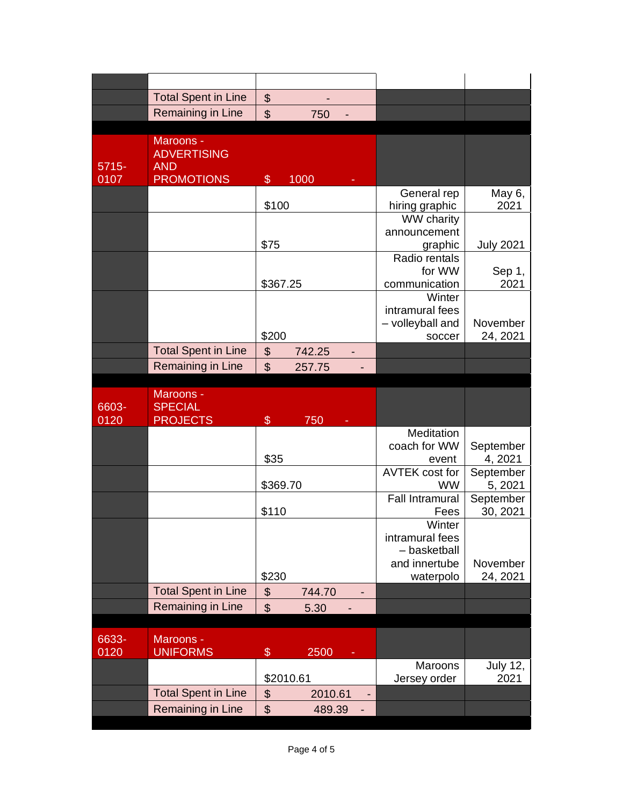|                  | <b>Total Spent in Line</b>                                         | \$                                               |                           |                      |
|------------------|--------------------------------------------------------------------|--------------------------------------------------|---------------------------|----------------------|
|                  | Remaining in Line                                                  | $\mathfrak{S}$<br>750                            |                           |                      |
|                  |                                                                    |                                                  |                           |                      |
| $5715 -$<br>0107 | Maroons -<br><b>ADVERTISING</b><br><b>AND</b><br><b>PROMOTIONS</b> | \$<br>1000                                       |                           |                      |
|                  |                                                                    |                                                  | General rep               | May 6,               |
|                  |                                                                    | \$100                                            | hiring graphic            | 2021                 |
|                  |                                                                    |                                                  | <b>WW</b> charity         |                      |
|                  |                                                                    |                                                  | announcement              |                      |
|                  |                                                                    | \$75                                             | graphic<br>Radio rentals  | <b>July 2021</b>     |
|                  |                                                                    |                                                  | for WW                    | Sep 1,               |
|                  |                                                                    | \$367.25                                         | communication             | 2021                 |
|                  |                                                                    |                                                  | Winter                    |                      |
|                  |                                                                    |                                                  | intramural fees           |                      |
|                  |                                                                    | \$200                                            | - volleyball and          | November<br>24, 2021 |
|                  | <b>Total Spent in Line</b>                                         | $\frac{1}{2}$<br>742.25                          | soccer                    |                      |
|                  | <b>Remaining in Line</b>                                           | \$<br>257.75                                     |                           |                      |
|                  |                                                                    |                                                  |                           |                      |
|                  | Maroons -                                                          |                                                  |                           |                      |
|                  |                                                                    |                                                  |                           |                      |
| 6603-            | <b>SPECIAL</b>                                                     |                                                  |                           |                      |
| 0120             | <b>PROJECTS</b>                                                    | \$<br>750                                        |                           |                      |
|                  |                                                                    |                                                  | Meditation                |                      |
|                  |                                                                    | \$35                                             | coach for WW<br>event     | September<br>4, 2021 |
|                  |                                                                    |                                                  | <b>AVTEK cost for</b>     | September            |
|                  |                                                                    | \$369.70                                         | <b>WW</b>                 | 5, 2021              |
|                  |                                                                    |                                                  | <b>Fall Intramural</b>    | September            |
|                  |                                                                    | \$110                                            | Fees                      | 30, 2021             |
|                  |                                                                    |                                                  | Winter<br>intramural fees |                      |
|                  |                                                                    |                                                  | - basketball              |                      |
|                  |                                                                    |                                                  | and innertube             | November             |
|                  |                                                                    | \$230                                            | waterpolo                 | 24, 2021             |
|                  | <b>Total Spent in Line</b>                                         | $\boldsymbol{\theta}$<br>744.70                  |                           |                      |
|                  | Remaining in Line                                                  | $\mathfrak{S}$<br>5.30                           |                           |                      |
|                  |                                                                    |                                                  |                           |                      |
| 6633-            | Maroons -                                                          |                                                  |                           |                      |
| 0120             | <b>UNIFORMS</b>                                                    | $\frac{1}{2}$<br>2500                            | Maroons                   | <b>July 12,</b>      |
|                  |                                                                    | \$2010.61                                        | Jersey order              | 2021                 |
|                  | <b>Total Spent in Line</b><br><b>Remaining in Line</b>             | \$<br>2010.61<br>$\boldsymbol{\theta}$<br>489.39 |                           |                      |